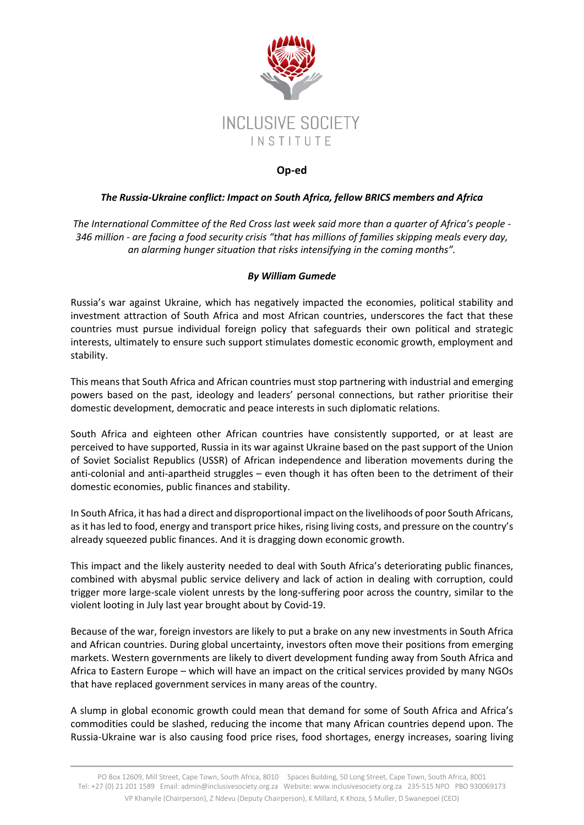

## **Op-ed**

## *The Russia-Ukraine conflict: Impact on South Africa, fellow BRICS members and Africa*

*The International Committee of the Red Cross last week said more than a quarter of Africa's people - 346 million - are facing a food security crisis "that has millions of families skipping meals every day, an alarming hunger situation that risks intensifying in the coming months".*

## *By William Gumede*

Russia's war against Ukraine, which has negatively impacted the economies, political stability and investment attraction of South Africa and most African countries, underscores the fact that these countries must pursue individual foreign policy that safeguards their own political and strategic interests, ultimately to ensure such support stimulates domestic economic growth, employment and stability.

This means that South Africa and African countries must stop partnering with industrial and emerging powers based on the past, ideology and leaders' personal connections, but rather prioritise their domestic development, democratic and peace interests in such diplomatic relations.

South Africa and eighteen other African countries have consistently supported, or at least are perceived to have supported, Russia in its war against Ukraine based on the past support of the Union of Soviet Socialist Republics (USSR) of African independence and liberation movements during the anti-colonial and anti-apartheid struggles – even though it has often been to the detriment of their domestic economies, public finances and stability.

In South Africa, it has had a direct and disproportional impact on the livelihoods of poor South Africans, as it has led to food, energy and transport price hikes, rising living costs, and pressure on the country's already squeezed public finances. And it is dragging down economic growth.

This impact and the likely austerity needed to deal with South Africa's deteriorating public finances, combined with abysmal public service delivery and lack of action in dealing with corruption, could trigger more large-scale violent unrests by the long-suffering poor across the country, similar to the violent looting in July last year brought about by Covid-19.

Because of the war, foreign investors are likely to put a brake on any new investments in South Africa and African countries. During global uncertainty, investors often move their positions from emerging markets. Western governments are likely to divert development funding away from South Africa and Africa to Eastern Europe – which will have an impact on the critical services provided by many NGOs that have replaced government services in many areas of the country.

A slump in global economic growth could mean that demand for some of South Africa and Africa's commodities could be slashed, reducing the income that many African countries depend upon. The Russia-Ukraine war is also causing food price rises, food shortages, energy increases, soaring living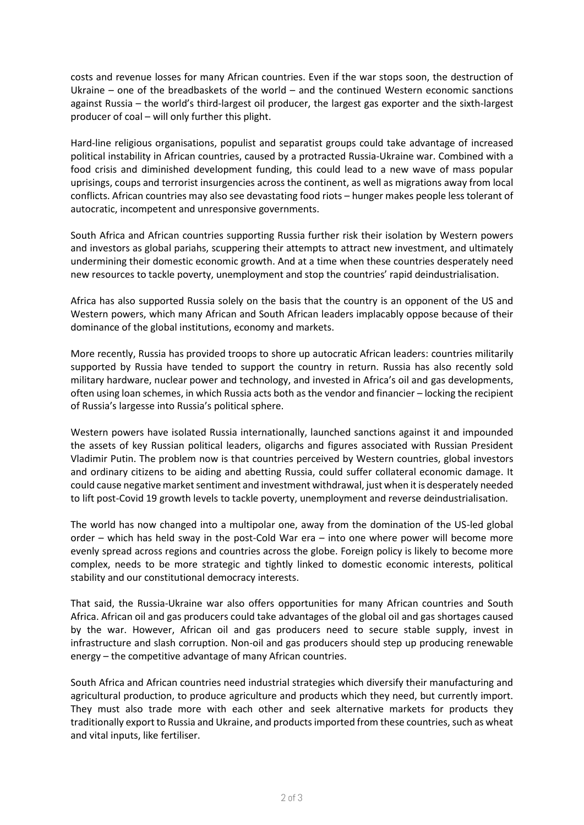costs and revenue losses for many African countries. Even if the war stops soon, the destruction of Ukraine – one of the breadbaskets of the world – and the continued Western economic sanctions against Russia – the world's third-largest oil producer, the largest gas exporter and the sixth-largest producer of coal – will only further this plight.

Hard-line religious organisations, populist and separatist groups could take advantage of increased political instability in African countries, caused by a protracted Russia-Ukraine war. Combined with a food crisis and diminished development funding, this could lead to a new wave of mass popular uprisings, coups and terrorist insurgencies across the continent, as well as migrations away from local conflicts. African countries may also see devastating food riots – hunger makes people less tolerant of autocratic, incompetent and unresponsive governments.

South Africa and African countries supporting Russia further risk their isolation by Western powers and investors as global pariahs, scuppering their attempts to attract new investment, and ultimately undermining their domestic economic growth. And at a time when these countries desperately need new resources to tackle poverty, unemployment and stop the countries' rapid deindustrialisation.

Africa has also supported Russia solely on the basis that the country is an opponent of the US and Western powers, which many African and South African leaders implacably oppose because of their dominance of the global institutions, economy and markets.

More recently, Russia has provided troops to shore up autocratic African leaders: countries militarily supported by Russia have tended to support the country in return. Russia has also recently sold military hardware, nuclear power and technology, and invested in Africa's oil and gas developments, often using loan schemes, in which Russia acts both as the vendor and financier – locking the recipient of Russia's largesse into Russia's political sphere.

Western powers have isolated Russia internationally, launched sanctions against it and impounded the assets of key Russian political leaders, oligarchs and figures associated with Russian President Vladimir Putin. The problem now is that countries perceived by Western countries, global investors and ordinary citizens to be aiding and abetting Russia, could suffer collateral economic damage. It could cause negative market sentiment and investment withdrawal, just when it is desperately needed to lift post-Covid 19 growth levels to tackle poverty, unemployment and reverse deindustrialisation.

The world has now changed into a multipolar one, away from the domination of the US-led global order – which has held sway in the post-Cold War era – into one where power will become more evenly spread across regions and countries across the globe. Foreign policy is likely to become more complex, needs to be more strategic and tightly linked to domestic economic interests, political stability and our constitutional democracy interests.

That said, the Russia-Ukraine war also offers opportunities for many African countries and South Africa. African oil and gas producers could take advantages of the global oil and gas shortages caused by the war. However, African oil and gas producers need to secure stable supply, invest in infrastructure and slash corruption. Non-oil and gas producers should step up producing renewable energy – the competitive advantage of many African countries.

South Africa and African countries need industrial strategies which diversify their manufacturing and agricultural production, to produce agriculture and products which they need, but currently import. They must also trade more with each other and seek alternative markets for products they traditionally export to Russia and Ukraine, and products imported from these countries, such as wheat and vital inputs, like fertiliser.